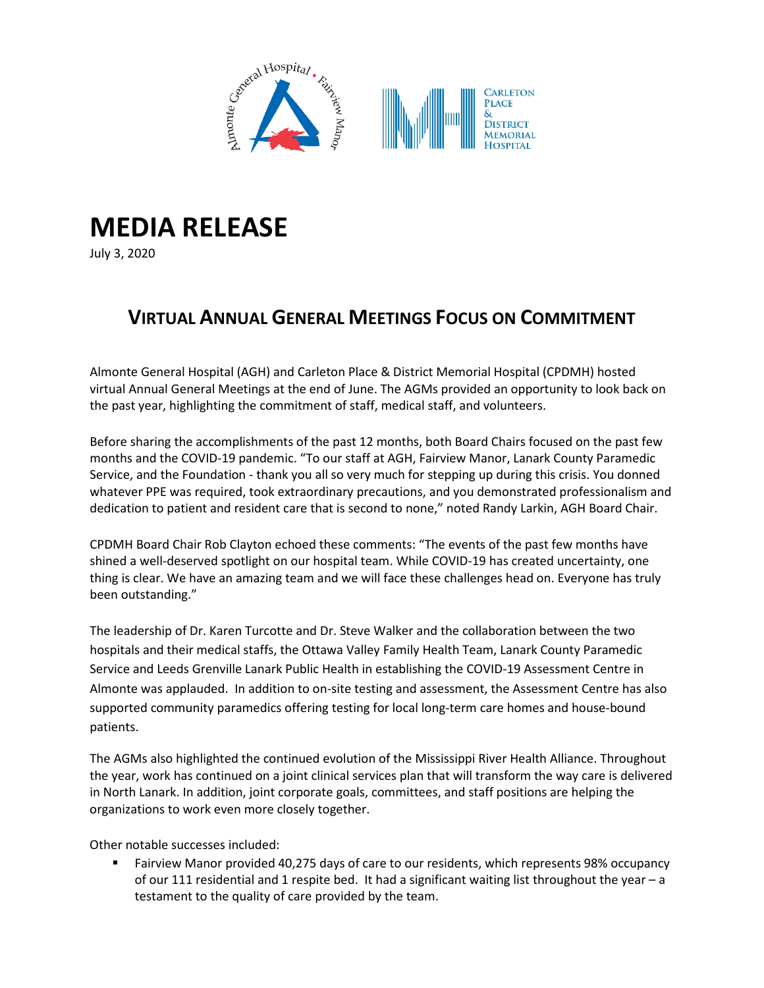

## **MEDIA RELEASE**

July 3, 2020

## **VIRTUAL ANNUAL GENERAL MEETINGS FOCUS ON COMMITMENT**

Almonte General Hospital (AGH) and Carleton Place & District Memorial Hospital (CPDMH) hosted virtual Annual General Meetings at the end of June. The AGMs provided an opportunity to look back on the past year, highlighting the commitment of staff, medical staff, and volunteers.

Before sharing the accomplishments of the past 12 months, both Board Chairs focused on the past few months and the COVID-19 pandemic. "To our staff at AGH, Fairview Manor, Lanark County Paramedic Service, and the Foundation - thank you all so very much for stepping up during this crisis. You donned whatever PPE was required, took extraordinary precautions, and you demonstrated professionalism and dedication to patient and resident care that is second to none," noted Randy Larkin, AGH Board Chair.

CPDMH Board Chair Rob Clayton echoed these comments: "The events of the past few months have shined a well-deserved spotlight on our hospital team. While COVID-19 has created uncertainty, one thing is clear. We have an amazing team and we will face these challenges head on. Everyone has truly been outstanding."

The leadership of Dr. Karen Turcotte and Dr. Steve Walker and the collaboration between the two hospitals and their medical staffs, the Ottawa Valley Family Health Team, Lanark County Paramedic Service and Leeds Grenville Lanark Public Health in establishing the COVID-19 Assessment Centre in Almonte was applauded. In addition to on-site testing and assessment, the Assessment Centre has also supported community paramedics offering testing for local long-term care homes and house-bound patients.

The AGMs also highlighted the continued evolution of the Mississippi River Health Alliance. Throughout the year, work has continued on a joint clinical services plan that will transform the way care is delivered in North Lanark. In addition, joint corporate goals, committees, and staff positions are helping the organizations to work even more closely together.

Other notable successes included:

 Fairview Manor provided 40,275 days of care to our residents, which represents 98% occupancy of our 111 residential and 1 respite bed. It had a significant waiting list throughout the year – a testament to the quality of care provided by the team.